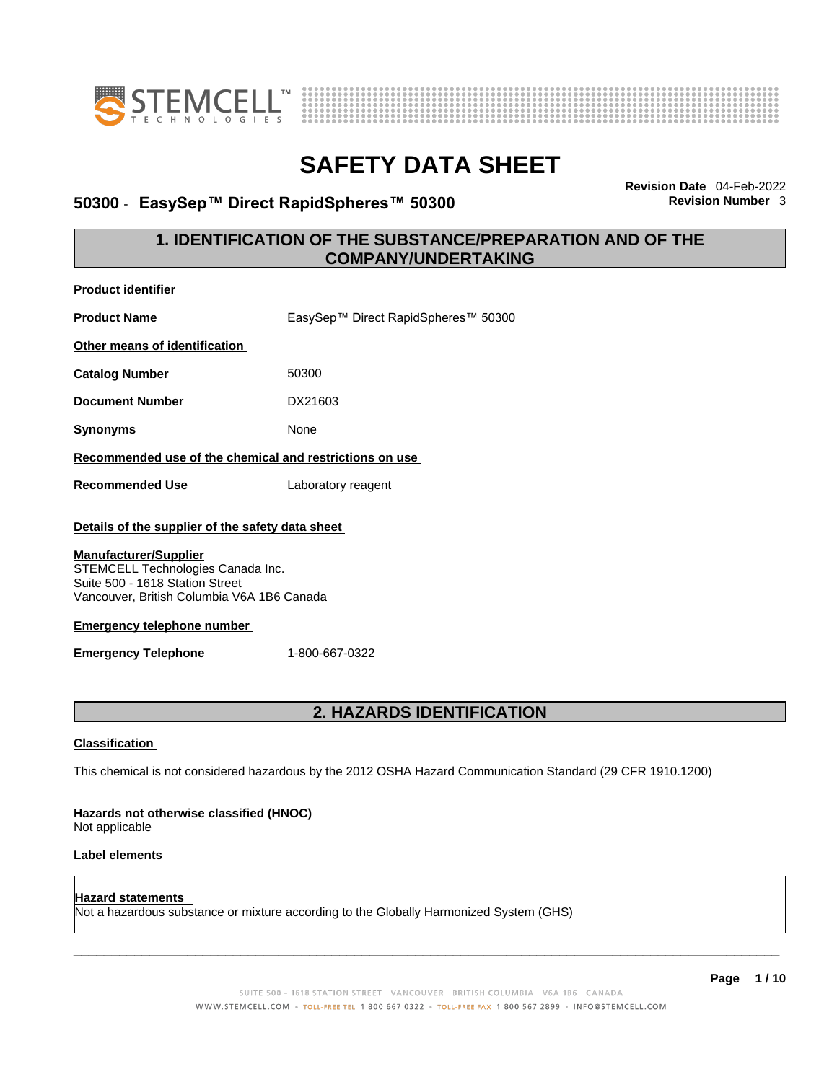



### **50300 · EasySep™ Direct RapidSpheres™ 50300**

**Revision Date** 04-Feb-2022

### **1. IDENTIFICATION OF THE SUBSTANCE/PREPARATION AND OF THE COMPANY/UNDERTAKING**

| <b>Product identifier</b>                                                                                                                                                                                                                                                 |                                                                                                             |
|---------------------------------------------------------------------------------------------------------------------------------------------------------------------------------------------------------------------------------------------------------------------------|-------------------------------------------------------------------------------------------------------------|
| <b>Product Name</b>                                                                                                                                                                                                                                                       | EasySep™ Direct RapidSpheres™ 50300                                                                         |
| Other means of identification                                                                                                                                                                                                                                             |                                                                                                             |
| <b>Catalog Number</b>                                                                                                                                                                                                                                                     | 50300                                                                                                       |
| <b>Document Number</b>                                                                                                                                                                                                                                                    | DX21603                                                                                                     |
| <b>Synonyms</b>                                                                                                                                                                                                                                                           | None                                                                                                        |
| Recommended use of the chemical and restrictions on use                                                                                                                                                                                                                   |                                                                                                             |
| <b>Recommended Use</b>                                                                                                                                                                                                                                                    | Laboratory reagent                                                                                          |
| Details of the supplier of the safety data sheet<br><b>Manufacturer/Supplier</b><br>STEMCELL Technologies Canada Inc.<br>Suite 500 - 1618 Station Street<br>Vancouver, British Columbia V6A 1B6 Canada<br><b>Emergency telephone number</b><br><b>Emergency Telephone</b> | 1-800-667-0322                                                                                              |
|                                                                                                                                                                                                                                                                           | 2. HAZARDS IDENTIFICATION                                                                                   |
| <b>Classification</b>                                                                                                                                                                                                                                                     | This chemical is not considered hazardous by the 2012 OSHA Hazard Communication Standard (29 CFR 1910.1200) |
| Hazards not otherwise classified (HNOC)<br>Not applicable                                                                                                                                                                                                                 |                                                                                                             |
| <b>Label elements</b>                                                                                                                                                                                                                                                     |                                                                                                             |
| Hazard statements                                                                                                                                                                                                                                                         | Not a hazardous substance or mixture according to the Globally Harmonized System (GHS)                      |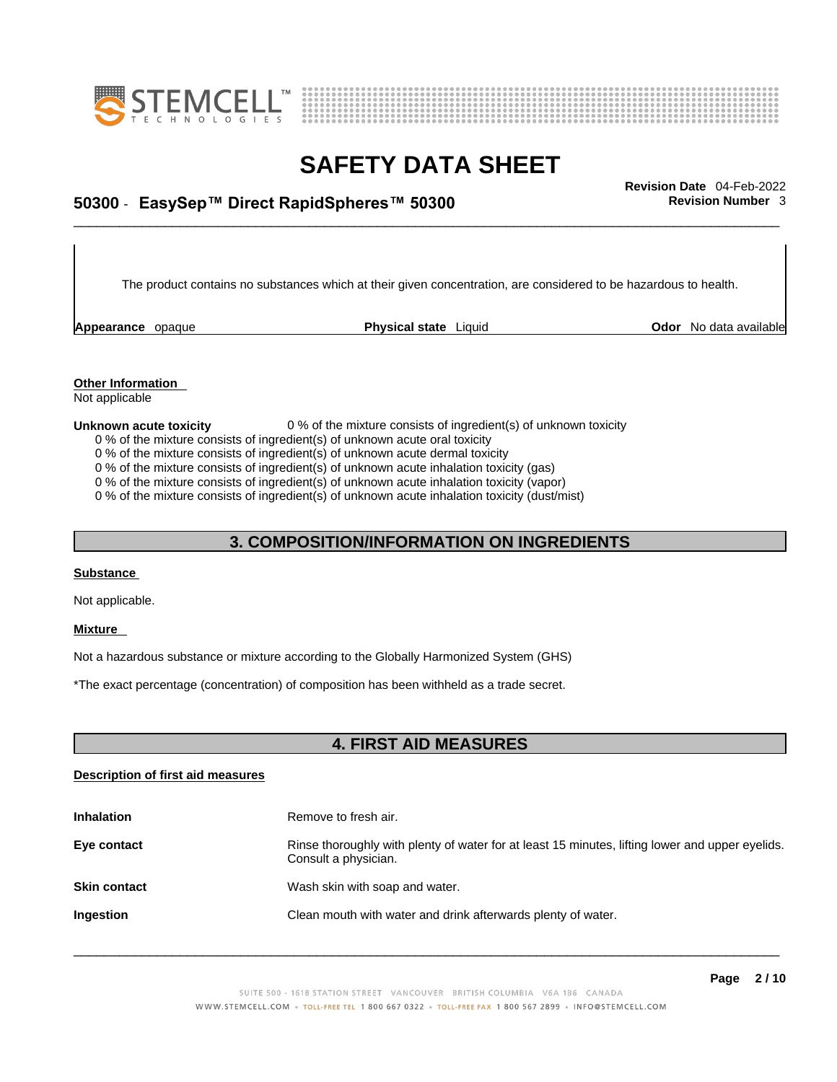



## \_\_\_\_\_\_\_\_\_\_\_\_\_\_\_\_\_\_\_\_\_\_\_\_\_\_\_\_\_\_\_\_\_\_\_\_\_\_\_\_\_\_\_\_\_\_\_\_\_\_\_\_\_\_\_\_\_\_\_\_\_\_\_\_\_\_\_\_\_\_\_\_\_\_\_\_\_\_\_\_\_\_\_\_\_\_\_\_\_\_\_\_\_ **Revision Date** 04-Feb-2022 **50300** - **EasySep™ Direct RapidSpheres™ 50300 Revision Number** 3

The product contains no substances which at their given concentration, are considered to be hazardous to health.

**Appearance** opaque **Physical state** Liquid

**Odor** No data available

**Other Information**  Not applicable

#### **Unknown acute toxicity** 0 % of the mixture consists of ingredient(s) of unknown toxicity

- 0 % of the mixture consists of ingredient(s) of unknown acute oral toxicity
- 0 % of the mixture consists of ingredient(s) of unknown acute dermal toxicity
- 0 % of the mixture consists of ingredient(s) of unknown acute inhalation toxicity (gas)
- 0 % of the mixture consists of ingredient(s) of unknown acute inhalation toxicity (vapor)

0 % of the mixture consists of ingredient(s) of unknown acute inhalation toxicity (dust/mist)

### **3. COMPOSITION/INFORMATION ON INGREDIENTS**

#### **Substance**

Not applicable.

#### **Mixture**

Not a hazardous substance or mixture according to the Globally Harmonized System (GHS)

\*The exact percentage (concentration) of composition has been withheld as a trade secret.

### **4. FIRST AID MEASURES**

#### **Description of first aid measures**

| <b>Inhalation</b>   | Remove to fresh air.                                                                                                    |
|---------------------|-------------------------------------------------------------------------------------------------------------------------|
| Eye contact         | Rinse thoroughly with plenty of water for at least 15 minutes, lifting lower and upper eyelids.<br>Consult a physician. |
| <b>Skin contact</b> | Wash skin with soap and water.                                                                                          |
| Ingestion           | Clean mouth with water and drink afterwards plenty of water.                                                            |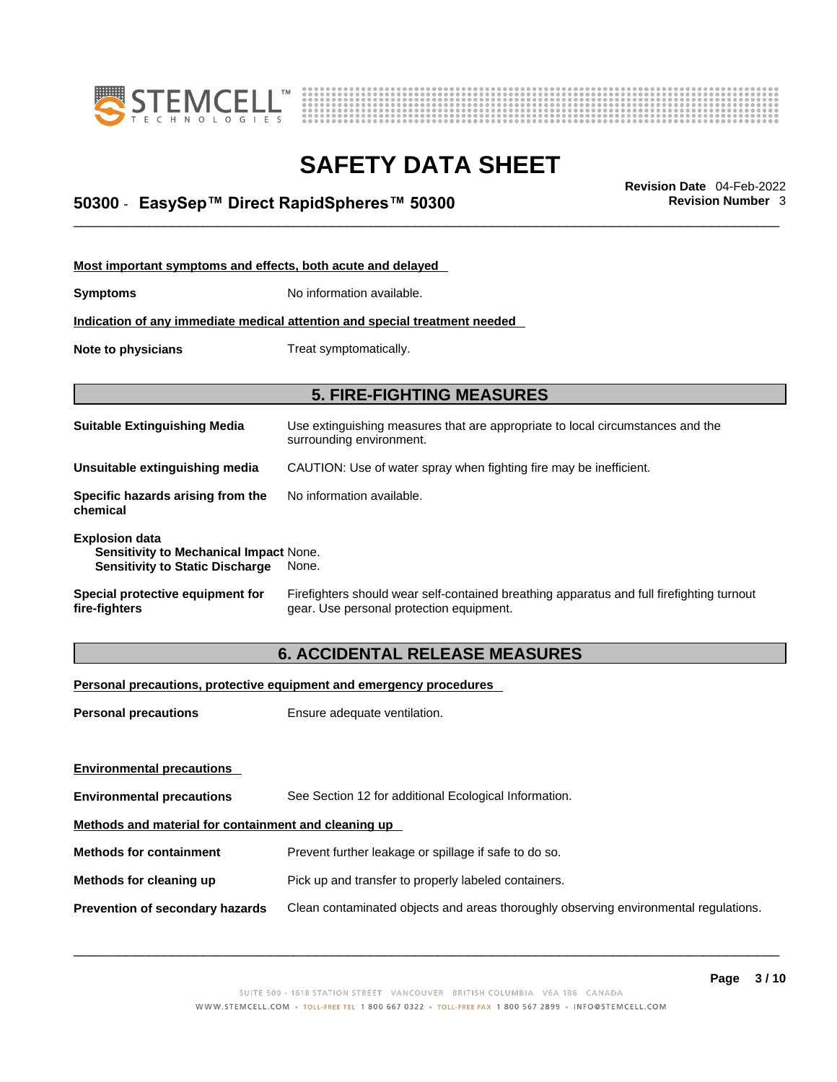



## \_\_\_\_\_\_\_\_\_\_\_\_\_\_\_\_\_\_\_\_\_\_\_\_\_\_\_\_\_\_\_\_\_\_\_\_\_\_\_\_\_\_\_\_\_\_\_\_\_\_\_\_\_\_\_\_\_\_\_\_\_\_\_\_\_\_\_\_\_\_\_\_\_\_\_\_\_\_\_\_\_\_\_\_\_\_\_\_\_\_\_\_\_ **Revision Date** 04-Feb-2022 **50300** - **EasySep™ Direct RapidSpheres™ 50300 Revision Number** 3

| Most important symptoms and effects, both acute and delayed                                                      |                                                                                                                                       |
|------------------------------------------------------------------------------------------------------------------|---------------------------------------------------------------------------------------------------------------------------------------|
| <b>Symptoms</b>                                                                                                  | No information available.                                                                                                             |
|                                                                                                                  | Indication of any immediate medical attention and special treatment needed                                                            |
| Note to physicians                                                                                               | Treat symptomatically.                                                                                                                |
|                                                                                                                  |                                                                                                                                       |
|                                                                                                                  | <b>5. FIRE-FIGHTING MEASURES</b>                                                                                                      |
| <b>Suitable Extinguishing Media</b>                                                                              | Use extinguishing measures that are appropriate to local circumstances and the<br>surrounding environment.                            |
| Unsuitable extinguishing media                                                                                   | CAUTION: Use of water spray when fighting fire may be inefficient.                                                                    |
| Specific hazards arising from the<br>chemical                                                                    | No information available.                                                                                                             |
| <b>Explosion data</b><br><b>Sensitivity to Mechanical Impact None.</b><br><b>Sensitivity to Static Discharge</b> | None.                                                                                                                                 |
| Special protective equipment for<br>fire-fighters                                                                | Firefighters should wear self-contained breathing apparatus and full firefighting turnout<br>gear. Use personal protection equipment. |

### **6. ACCIDENTAL RELEASE MEASURES**

### **Personal precautions, protective equipment and emergency procedures**

| <b>Personal precautions</b>                          | Ensure adequate ventilation.                                                         |  |
|------------------------------------------------------|--------------------------------------------------------------------------------------|--|
| <b>Environmental precautions</b>                     |                                                                                      |  |
| <b>Environmental precautions</b>                     | See Section 12 for additional Ecological Information.                                |  |
| Methods and material for containment and cleaning up |                                                                                      |  |
| <b>Methods for containment</b>                       | Prevent further leakage or spillage if safe to do so.                                |  |
| Methods for cleaning up                              | Pick up and transfer to properly labeled containers.                                 |  |
| Prevention of secondary hazards                      | Clean contaminated objects and areas thoroughly observing environmental regulations. |  |
|                                                      |                                                                                      |  |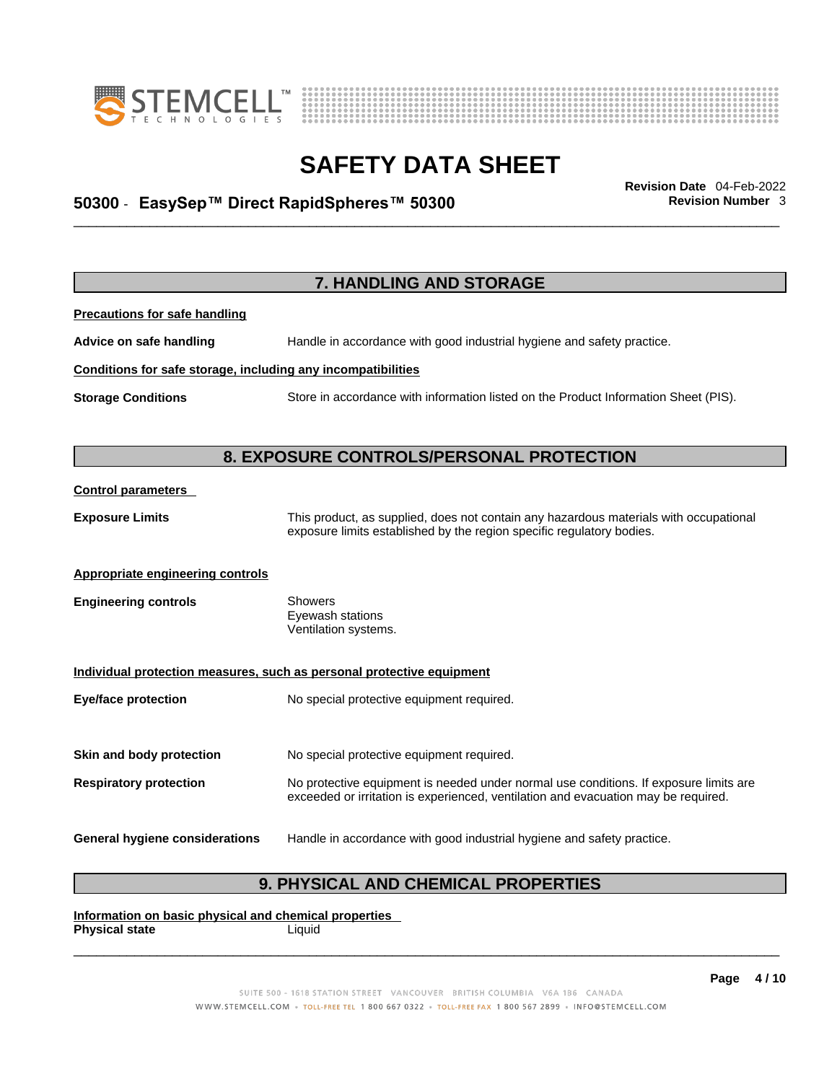



## \_\_\_\_\_\_\_\_\_\_\_\_\_\_\_\_\_\_\_\_\_\_\_\_\_\_\_\_\_\_\_\_\_\_\_\_\_\_\_\_\_\_\_\_\_\_\_\_\_\_\_\_\_\_\_\_\_\_\_\_\_\_\_\_\_\_\_\_\_\_\_\_\_\_\_\_\_\_\_\_\_\_\_\_\_\_\_\_\_\_\_\_\_ **Revision Date** 04-Feb-2022 **50300** - **EasySep™ Direct RapidSpheres™ 50300 Revision Number** 3

|                                                              | 7. HANDLING AND STORAGE                                                               |
|--------------------------------------------------------------|---------------------------------------------------------------------------------------|
|                                                              |                                                                                       |
| <b>Precautions for safe handling</b>                         |                                                                                       |
| Advice on safe handling                                      | Handle in accordance with good industrial hygiene and safety practice.                |
| Conditions for safe storage, including any incompatibilities |                                                                                       |
| <b>Storage Conditions</b>                                    | Store in accordance with information listed on the Product Information Sheet (PIS).   |
|                                                              |                                                                                       |
|                                                              | <b>8. EXPOSURE CONTROLS/PERSONAL PROTECTION</b>                                       |
| <b>Control parameters</b>                                    |                                                                                       |
| <b>Exposure Limits</b>                                       | This product, as supplied, does not contain any hazardous materials with occupational |
|                                                              | exposure limits established by the region specific regulatory bodies.                 |
| <b>Appropriate engineering controls</b>                      |                                                                                       |
| <b>Engineering controls</b>                                  | Showers                                                                               |
|                                                              | Eyewash stations<br>Ventilation systems.                                              |
|                                                              | Individual protection measures, such as personal protective equipment                 |
| <b>Eye/face protection</b>                                   | No special protective equipment required.                                             |
| Skin and body protection                                     | No special protective equipment required.                                             |
| <b>Respiratory protection</b>                                | No protective equipment is needed under normal use conditions. If exposure limits are |
|                                                              | exceeded or irritation is experienced, ventilation and evacuation may be required.    |
| General hygiene considerations                               | Handle in accordance with good industrial hygiene and safety practice.                |
|                                                              |                                                                                       |

### **9. PHYSICAL AND CHEMICAL PROPERTIES**

**Information on basic physical and chemical properties Physical state** Liquid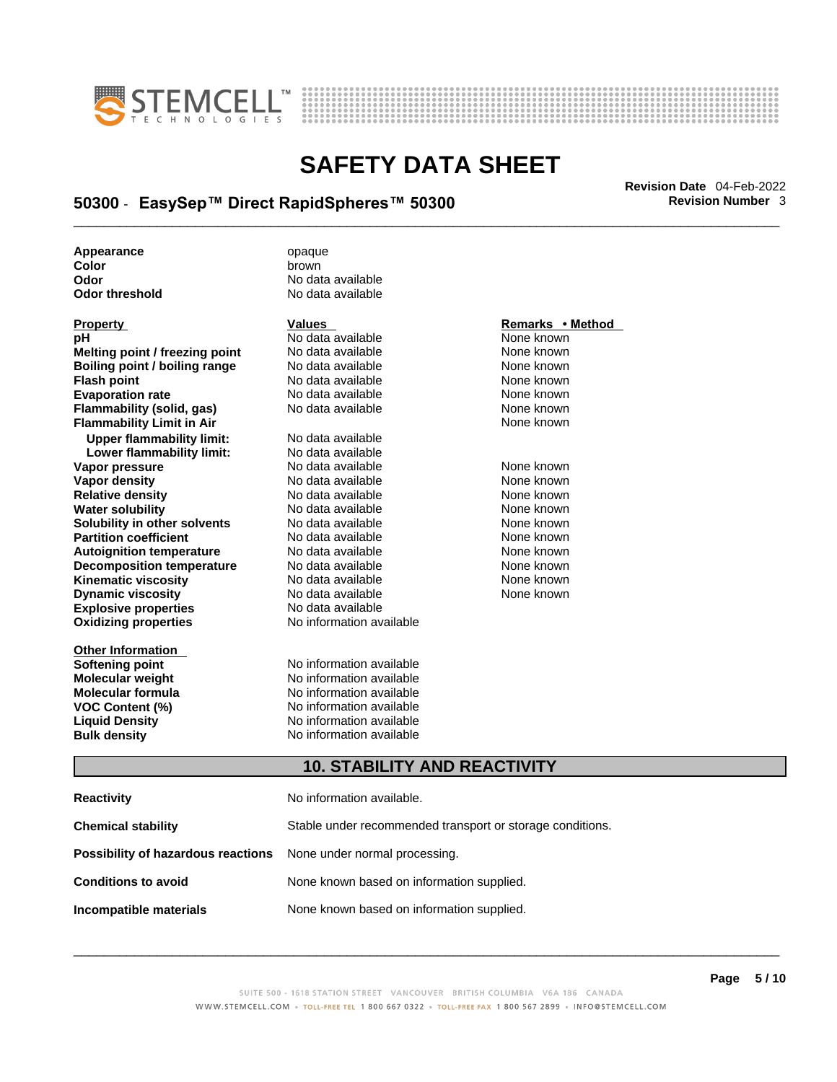



## \_\_\_\_\_\_\_\_\_\_\_\_\_\_\_\_\_\_\_\_\_\_\_\_\_\_\_\_\_\_\_\_\_\_\_\_\_\_\_\_\_\_\_\_\_\_\_\_\_\_\_\_\_\_\_\_\_\_\_\_\_\_\_\_\_\_\_\_\_\_\_\_\_\_\_\_\_\_\_\_\_\_\_\_\_\_\_\_\_\_\_\_\_ **Revision Date** 04-Feb-2022 **50300** - **EasySep™ Direct RapidSpheres™ 50300 Revision Number** 3

**Appearance** opaque **Color brown**<br> **Color District Color**<br> **Color** 

| <b>Property</b>                  |
|----------------------------------|
| рH                               |
| Melting point / freezing point   |
| Boiling point / boiling range    |
| <b>Flash point</b>               |
| <b>Evaporation rate</b>          |
| Flammability (solid, gas)        |
| <b>Flammability Limit in Air</b> |
| <b>Upper flammability limit:</b> |
| Lower flammability limit:        |
| Vapor pressure                   |
| <b>Vapor density</b>             |
| <b>Relative density</b>          |
| <b>Water solubility</b>          |
| Solubility in other solvents     |
| <b>Partition coefficient</b>     |
| <b>Autoignition temperature</b>  |
| <b>Decomposition temperature</b> |
| <b>Kinematic viscosity</b>       |
| <b>Dynamic viscosity</b>         |
| <b>Explosive properties</b>      |
| <b>Oxidizing properties</b>      |
|                                  |

**Other Information** 

**Odor No data available**<br> **Odor threshold No data available No data available** 

**PH ANO data available None known**<br>
No data available None known **No data available Roidata available 1999 Mone known**<br> **Boiling** None known<br> **Roidata available None known No data available Evaporation No data available None known**<br> **Evaporation** None known<br>
None known **No data available** 

**Explosive properties** No data available **Oxidizing properties** No information available **No data available Lower flammability limit:** No data available **Vapora Available None known**<br> **Pressure No data available None known**<br>
None known **Vapor density Available** None known<br>
No data available None known **No data available No data available None known Solution Islam in Solution None known** None known **Partition Partition Coefficient Coefficient Coefficient Coefficient Coefficient Coefficient Coefficient Coefficient Coefficient Coefficient Coefficient Coefficient Coefficient Coefficient C Automische Munder None known**<br> **Automische None known**<br>
None known **No data available** No data available **None known** No data available None known

**Softening point**<br> **Molecular weight**<br> **Molecular weight**<br> **Molecular weight**<br> **Molecular weight No information available Molecular formula** No information available **VOC Content (%)**<br>
Liquid Density<br>
No information available<br>
No information available **No information available Bulk density No information available** 

### **Property CONSIDERENT VALUES PROPERTY Remarks • Method**

**Flammability Limit in Air** None known

### **10. STABILITY AND REACTIVITY**

| Reactivity                                                              | No information available.                                 |
|-------------------------------------------------------------------------|-----------------------------------------------------------|
| Chemical stability                                                      | Stable under recommended transport or storage conditions. |
| <b>Possibility of hazardous reactions</b> None under normal processing. |                                                           |
| Conditions to avoid                                                     | None known based on information supplied.                 |
| Incompatible materials                                                  | None known based on information supplied.                 |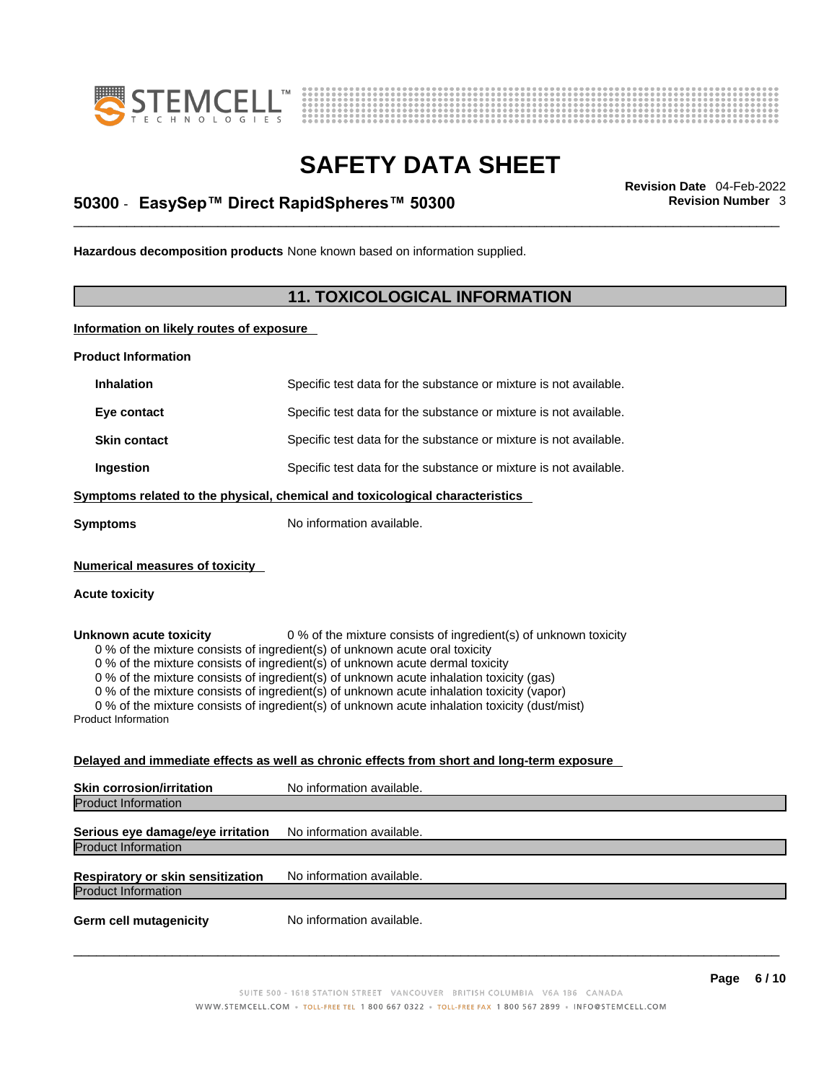



## \_\_\_\_\_\_\_\_\_\_\_\_\_\_\_\_\_\_\_\_\_\_\_\_\_\_\_\_\_\_\_\_\_\_\_\_\_\_\_\_\_\_\_\_\_\_\_\_\_\_\_\_\_\_\_\_\_\_\_\_\_\_\_\_\_\_\_\_\_\_\_\_\_\_\_\_\_\_\_\_\_\_\_\_\_\_\_\_\_\_\_\_\_ **Revision Date** 04-Feb-2022 **50300** - **EasySep™ Direct RapidSpheres™ 50300 Revision Number** 3

**Hazardous decomposition products** None known based on information supplied.

### **11. TOXICOLOGICAL INFORMATION**

**Information on likely routes of exposure**

**Product Information**

| <b>Inhalation</b>                                                            | Specific test data for the substance or mixture is not available.                                                                                                                                                                                                                                                                                                                                                                                                                                                         |  |  |
|------------------------------------------------------------------------------|---------------------------------------------------------------------------------------------------------------------------------------------------------------------------------------------------------------------------------------------------------------------------------------------------------------------------------------------------------------------------------------------------------------------------------------------------------------------------------------------------------------------------|--|--|
| Eye contact                                                                  | Specific test data for the substance or mixture is not available.                                                                                                                                                                                                                                                                                                                                                                                                                                                         |  |  |
| <b>Skin contact</b>                                                          | Specific test data for the substance or mixture is not available.                                                                                                                                                                                                                                                                                                                                                                                                                                                         |  |  |
| Ingestion                                                                    | Specific test data for the substance or mixture is not available.                                                                                                                                                                                                                                                                                                                                                                                                                                                         |  |  |
| Symptoms related to the physical, chemical and toxicological characteristics |                                                                                                                                                                                                                                                                                                                                                                                                                                                                                                                           |  |  |
| <b>Symptoms</b>                                                              | No information available.                                                                                                                                                                                                                                                                                                                                                                                                                                                                                                 |  |  |
| <b>Numerical measures of toxicity</b><br><b>Acute toxicity</b>               |                                                                                                                                                                                                                                                                                                                                                                                                                                                                                                                           |  |  |
| Unknown acute toxicity<br><b>Product Information</b>                         | 0 % of the mixture consists of ingredient(s) of unknown toxicity<br>0 % of the mixture consists of ingredient(s) of unknown acute oral toxicity<br>0 % of the mixture consists of ingredient(s) of unknown acute dermal toxicity<br>0 % of the mixture consists of ingredient(s) of unknown acute inhalation toxicity (gas)<br>0 % of the mixture consists of ingredient(s) of unknown acute inhalation toxicity (vapor)<br>0 % of the mixture consists of ingredient(s) of unknown acute inhalation toxicity (dust/mist) |  |  |
|                                                                              | Delayed and immediate effects as well as chronic effects from short and long-term exposure                                                                                                                                                                                                                                                                                                                                                                                                                                |  |  |
| <b>Skin corrosion/irritation</b>                                             | No information available.                                                                                                                                                                                                                                                                                                                                                                                                                                                                                                 |  |  |

Product Information **Serious eye damage/eye irritation** No information available. Product Information **Respiratory or skin sensitization** No information available. Product Information **Germ cell mutagenicity** No information available.  $\_$  ,  $\_$  ,  $\_$  ,  $\_$  ,  $\_$  ,  $\_$  ,  $\_$  ,  $\_$  ,  $\_$  ,  $\_$  ,  $\_$  ,  $\_$  ,  $\_$  ,  $\_$  ,  $\_$  ,  $\_$  ,  $\_$  ,  $\_$  ,  $\_$  ,  $\_$  ,  $\_$  ,  $\_$  ,  $\_$  ,  $\_$  ,  $\_$  ,  $\_$  ,  $\_$  ,  $\_$  ,  $\_$  ,  $\_$  ,  $\_$  ,  $\_$  ,  $\_$  ,  $\_$  ,  $\_$  ,  $\_$  ,  $\_$  ,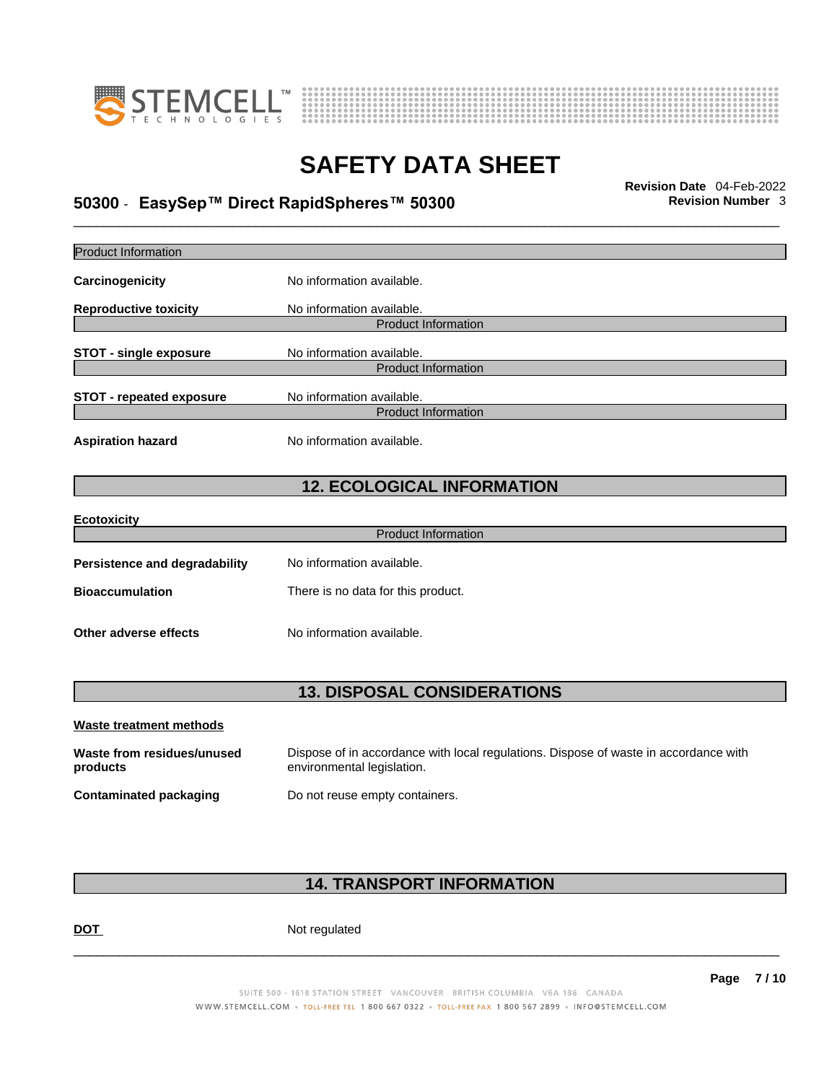



## \_\_\_\_\_\_\_\_\_\_\_\_\_\_\_\_\_\_\_\_\_\_\_\_\_\_\_\_\_\_\_\_\_\_\_\_\_\_\_\_\_\_\_\_\_\_\_\_\_\_\_\_\_\_\_\_\_\_\_\_\_\_\_\_\_\_\_\_\_\_\_\_\_\_\_\_\_\_\_\_\_\_\_\_\_\_\_\_\_\_\_\_\_ **Revision Date** 04-Feb-2022 **50300** - **EasySep™ Direct RapidSpheres™ 50300 Revision Number** 3

| Product Information                    |                                                                                                                    |
|----------------------------------------|--------------------------------------------------------------------------------------------------------------------|
| Carcinogenicity                        | No information available.                                                                                          |
| <b>Reproductive toxicity</b>           | No information available.                                                                                          |
|                                        | <b>Product Information</b>                                                                                         |
| <b>STOT - single exposure</b>          | No information available.<br><b>Product Information</b>                                                            |
| <b>STOT - repeated exposure</b>        | No information available.                                                                                          |
|                                        | <b>Product Information</b>                                                                                         |
| <b>Aspiration hazard</b>               | No information available.                                                                                          |
|                                        | <b>12. ECOLOGICAL INFORMATION</b>                                                                                  |
| <b>Ecotoxicity</b>                     |                                                                                                                    |
|                                        | <b>Product Information</b>                                                                                         |
| Persistence and degradability          | No information available.                                                                                          |
| <b>Bioaccumulation</b>                 | There is no data for this product.                                                                                 |
| Other adverse effects                  | No information available.                                                                                          |
|                                        | <b>13. DISPOSAL CONSIDERATIONS</b>                                                                                 |
| <b>Waste treatment methods</b>         |                                                                                                                    |
| Waste from residues/unused<br>products | Dispose of in accordance with local regulations. Dispose of waste in accordance with<br>environmental legislation. |
| <b>Contaminated packaging</b>          | Do not reuse empty containers.                                                                                     |
|                                        |                                                                                                                    |

### **14. TRANSPORT INFORMATION**

DOT Not regulated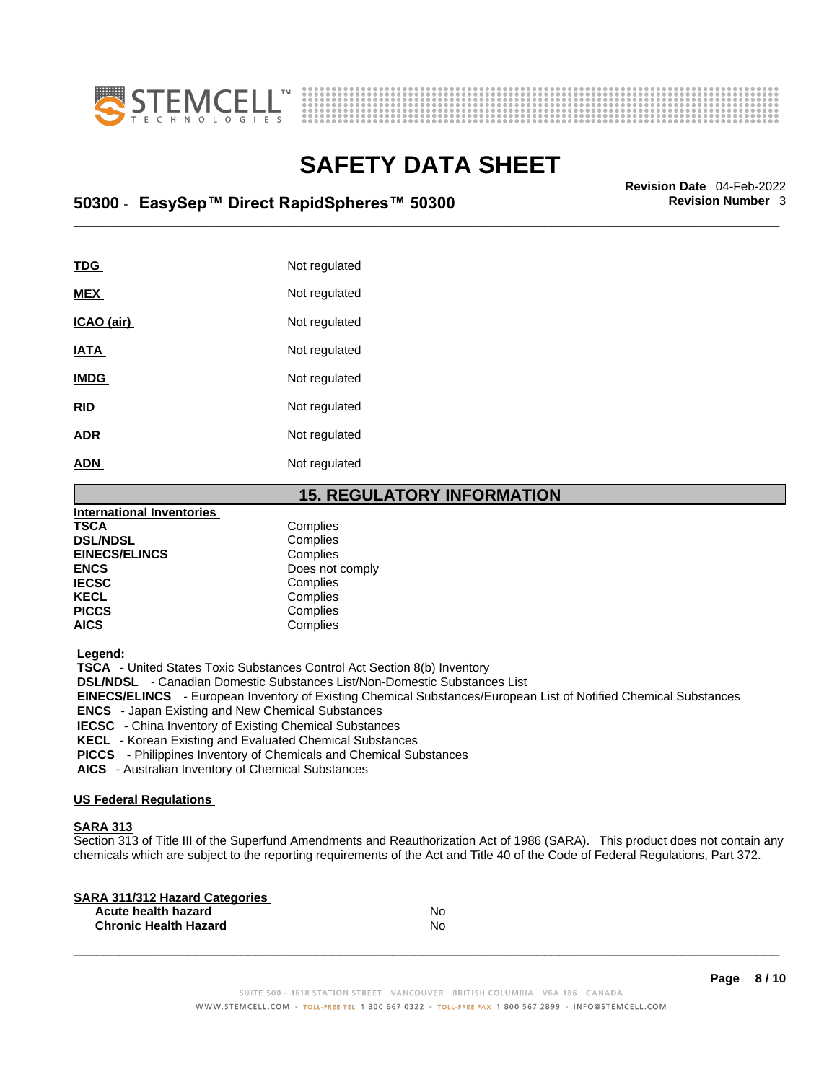



## \_\_\_\_\_\_\_\_\_\_\_\_\_\_\_\_\_\_\_\_\_\_\_\_\_\_\_\_\_\_\_\_\_\_\_\_\_\_\_\_\_\_\_\_\_\_\_\_\_\_\_\_\_\_\_\_\_\_\_\_\_\_\_\_\_\_\_\_\_\_\_\_\_\_\_\_\_\_\_\_\_\_\_\_\_\_\_\_\_\_\_\_\_ **Revision Date** 04-Feb-2022 **50300** - **EasySep™ Direct RapidSpheres™ 50300 Revision Number** 3

| TDG               | Not regulated |
|-------------------|---------------|
| <b>MEX</b>        | Not regulated |
| <u>ICAO (air)</u> | Not regulated |
| <b>IATA</b>       | Not regulated |
| <b>IMDG</b>       | Not regulated |
| <b>RID</b>        | Not regulated |
| <b>ADR</b>        | Not regulated |
| <b>ADN</b>        | Not regulated |

### **15. REGULATORY INFORMATION**

| <b>International Inventories</b> |                 |  |
|----------------------------------|-----------------|--|
| <b>TSCA</b>                      | Complies        |  |
| <b>DSL/NDSL</b>                  | Complies        |  |
| <b>EINECS/ELINCS</b>             | Complies        |  |
| <b>ENCS</b>                      | Does not comply |  |
| <b>IECSC</b>                     | Complies        |  |
| <b>KECL</b>                      | Complies        |  |
| <b>PICCS</b>                     | Complies        |  |
| <b>AICS</b>                      | Complies        |  |
|                                  |                 |  |

 **Legend:** 

 **TSCA** - United States Toxic Substances Control Act Section 8(b) Inventory

 **DSL/NDSL** - Canadian Domestic Substances List/Non-Domestic Substances List

 **EINECS/ELINCS** - European Inventory of Existing Chemical Substances/European List of Notified Chemical Substances

 **ENCS** - Japan Existing and New Chemical Substances

 **IECSC** - China Inventory of Existing Chemical Substances

 **KECL** - Korean Existing and Evaluated Chemical Substances

 **PICCS** - Philippines Inventory of Chemicals and Chemical Substances

 **AICS** - Australian Inventory of Chemical Substances

#### **US Federal Regulations**

#### **SARA 313**

Section 313 of Title III of the Superfund Amendments and Reauthorization Act of 1986 (SARA). This product does not contain any chemicals which are subject to the reporting requirements of the Act and Title 40 of the Code of Federal Regulations, Part 372.

| No |  |
|----|--|
| No |  |
|    |  |

**Page 8 / 10**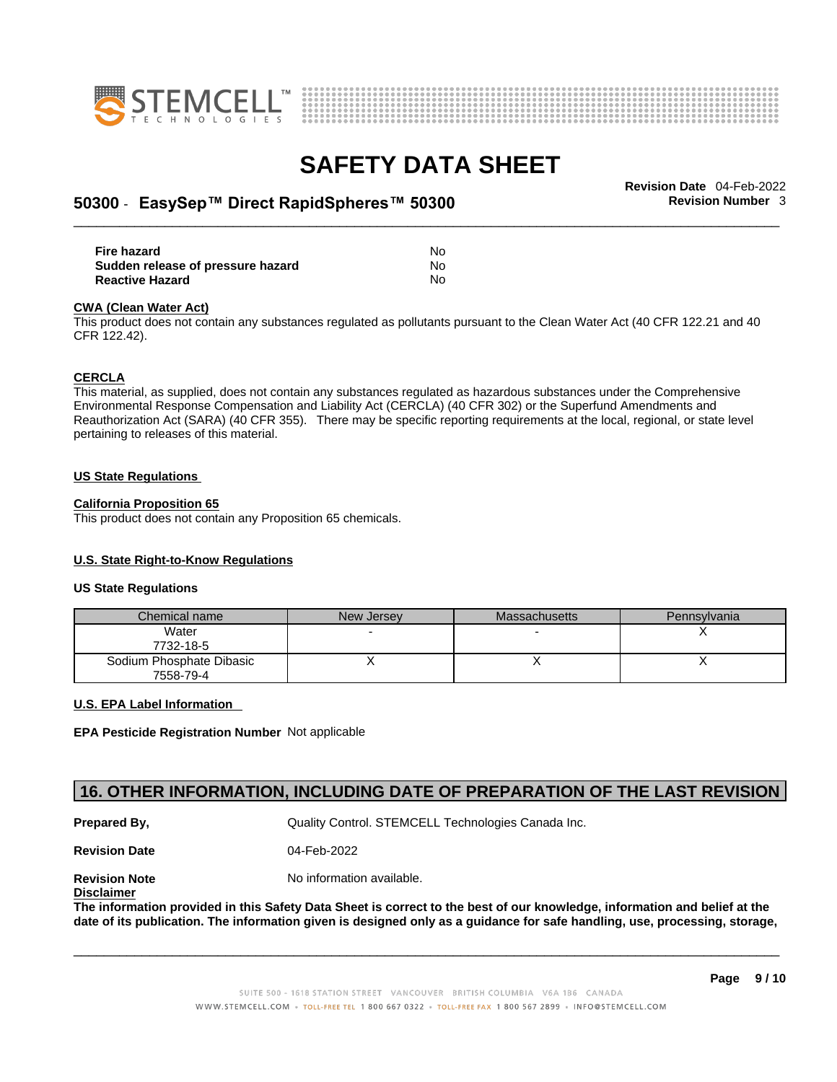



## \_\_\_\_\_\_\_\_\_\_\_\_\_\_\_\_\_\_\_\_\_\_\_\_\_\_\_\_\_\_\_\_\_\_\_\_\_\_\_\_\_\_\_\_\_\_\_\_\_\_\_\_\_\_\_\_\_\_\_\_\_\_\_\_\_\_\_\_\_\_\_\_\_\_\_\_\_\_\_\_\_\_\_\_\_\_\_\_\_\_\_\_\_ **Revision Date** 04-Feb-2022 **50300** - **EasySep™ Direct RapidSpheres™ 50300 Revision Number** 3

| <b>Fire hazard</b>                | No |  |
|-----------------------------------|----|--|
| Sudden release of pressure hazard | No |  |
| <b>Reactive Hazard</b>            | No |  |

#### **CWA** (Clean Water Act)

This product does not contain any substances regulated as pollutants pursuant to the Clean Water Act (40 CFR 122.21 and 40 CFR 122.42).

#### **CERCLA**

This material, as supplied, does not contain any substances regulated as hazardous substances under the Comprehensive Environmental Response Compensation and Liability Act (CERCLA) (40 CFR 302) or the Superfund Amendments and Reauthorization Act (SARA) (40 CFR 355). There may be specific reporting requirements at the local, regional, or state level pertaining to releases of this material.

#### **US State Regulations**

#### **California Proposition 65**

This product does not contain any Proposition 65 chemicals.

#### **U.S. State Right-to-Know Regulations**

#### **US State Regulations**

| Chemical name                         | New Jersey | <b>Massachusetts</b> | Pennsylvania |
|---------------------------------------|------------|----------------------|--------------|
| Water<br>7732-18-5                    |            |                      |              |
| Sodium Phosphate Dibasic<br>7558-79-4 |            |                      |              |

### **U.S. EPA Label Information**

**EPA Pesticide Registration Number** Not applicable

### **16. OTHER INFORMATION, INCLUDING DATE OF PREPARATION OF THE LAST REVISION**

**Prepared By, State Control. STEMCELL Technologies Canada Inc.** Canada Inc.

**Revision Date** 04-Feb-2022

**Disclaimer**

**Revision Note** Noinformation available.

The information provided in this Safety Data Sheet is correct to the best of our knowledge, information and belief at the date of its publication. The information given is designed only as a guidance for safe handling, use, processing, storage,